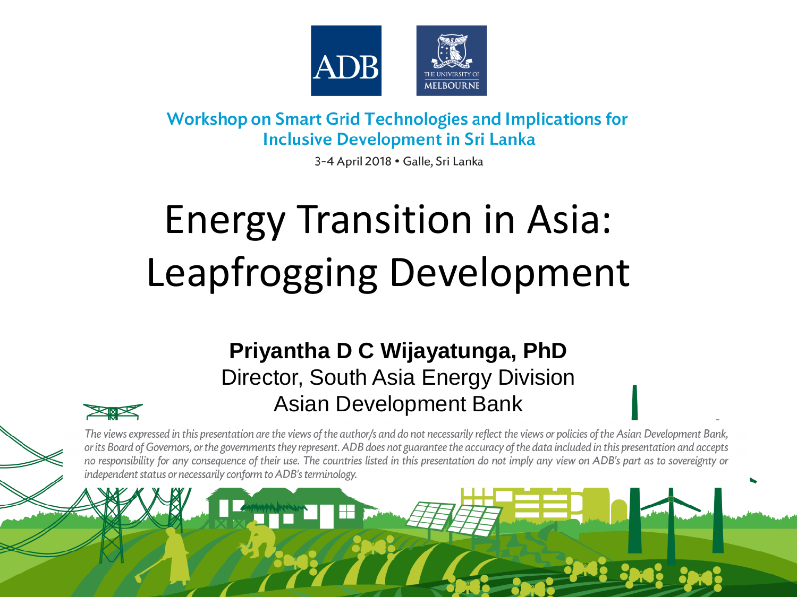

#### **Workshop on Smart Grid Technologies and Implications for Inclusive Development in Sri Lanka**

3-4 April 2018 · Galle, Sri Lanka

# Energy Transition in Asia: Leapfrogging Development

#### **Priyantha D C Wijayatunga, PhD** Director, South Asia Energy Division Asian Development Bank



The views expressed in this presentation are the views of the author/s and do not necessarily reflect the views or policies of the Asian Development Bank, or its Board of Governors, or the governments they represent. ADB does not guarantee the accuracy of the data included in this presentation and accepts no responsibility for any consequence of their use. The countries listed in this presentation do not imply any view on ADB's part as to sovereignty or independent status or necessarily conform to ADB's terminology.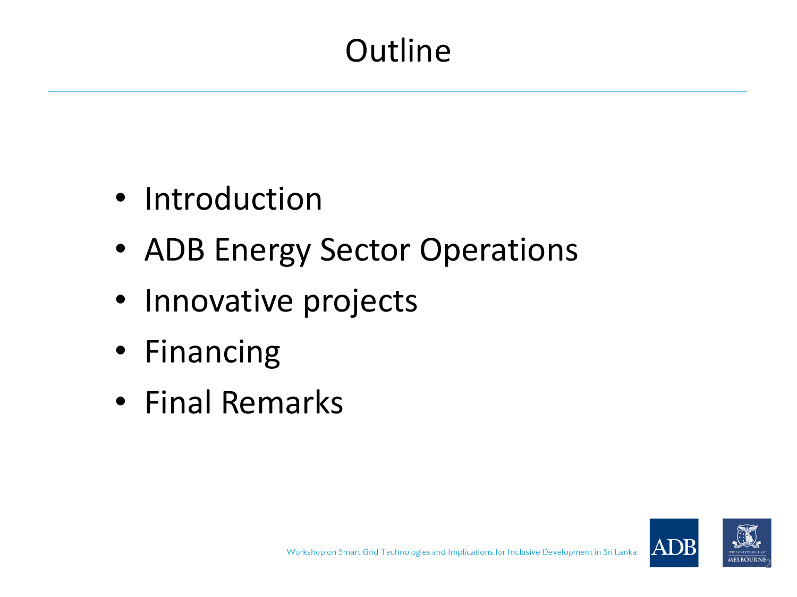# **Outline**

- Introduction
- ADB Energy Sector Operations
- Innovative projects
- Financing
- Final Remarks



2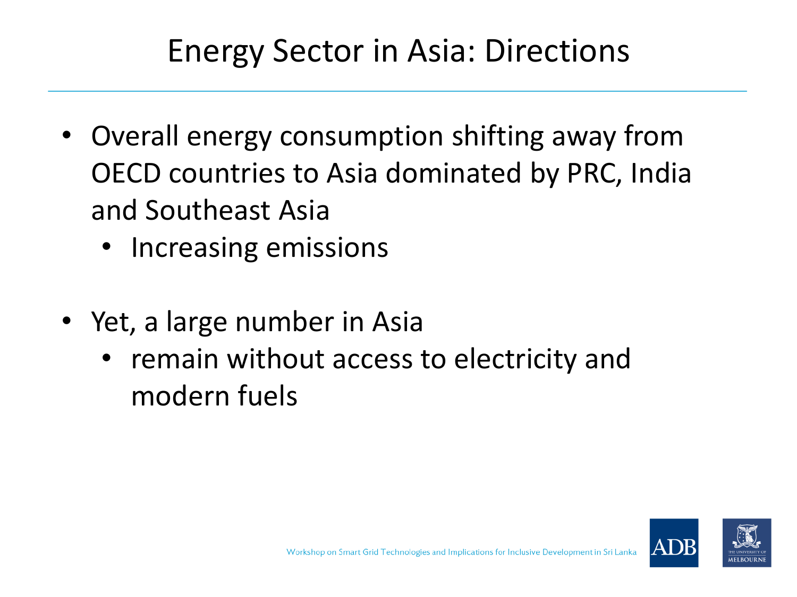### Energy Sector in Asia: Directions

- Overall energy consumption shifting away from OECD countries to Asia dominated by PRC, India and Southeast Asia
	- Increasing emissions
- Yet, a large number in Asia
	- remain without access to electricity and modern fuels

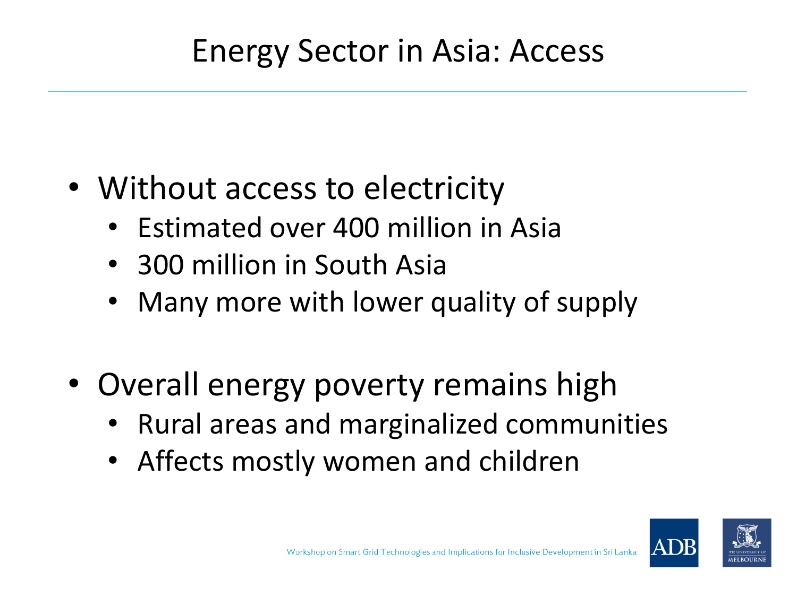## Energy Sector in Asia: Access

- Without access to electricity
	- Estimated over 400 million in Asia
	- 300 million in South Asia
	- Many more with lower quality of supply
- Overall energy poverty remains high
	- Rural areas and marginalized communities
	- Affects mostly women and children

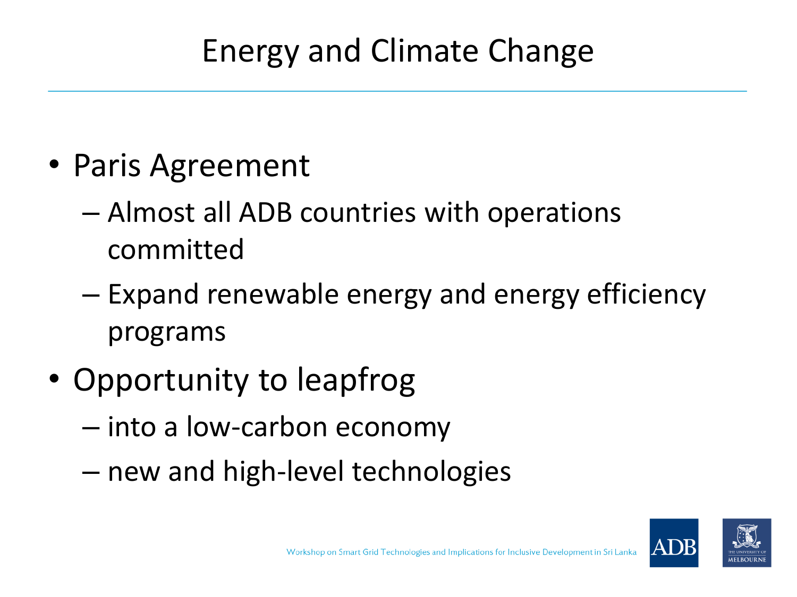## Energy and Climate Change

- Paris Agreement
	- Almost all ADB countries with operations committed
	- Expand renewable energy and energy efficiency programs
- Opportunity to leapfrog
	- into a low-carbon economy
	- new and high-level technologies

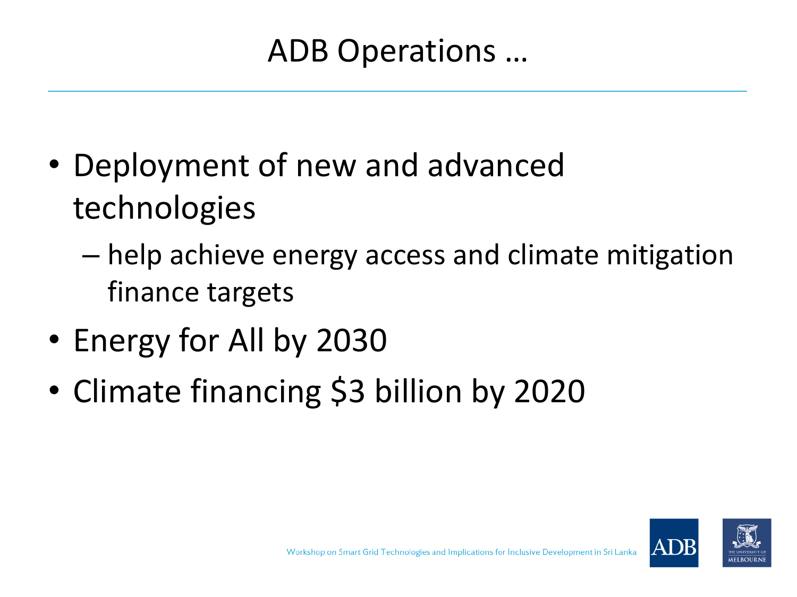ADB Operations …

- Deployment of new and advanced technologies
	- help achieve energy access and climate mitigation finance targets
- Energy for All by 2030
- Climate financing \$3 billion by 2020

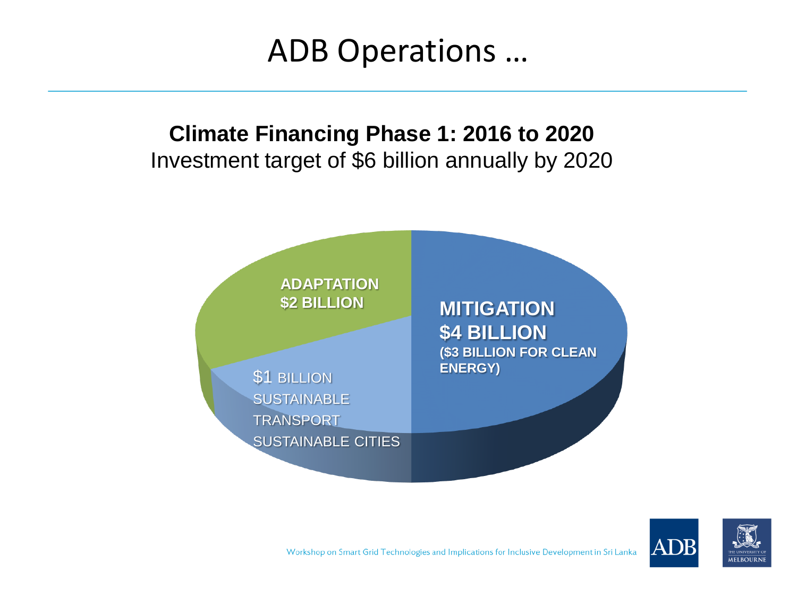ADB Operations …

#### **Climate Financing Phase 1: 2016 to 2020** Investment target of \$6 billion annually by 2020





Workshop on Smart Grid Technologies and Implications for Inclusive Development in Sri Lanka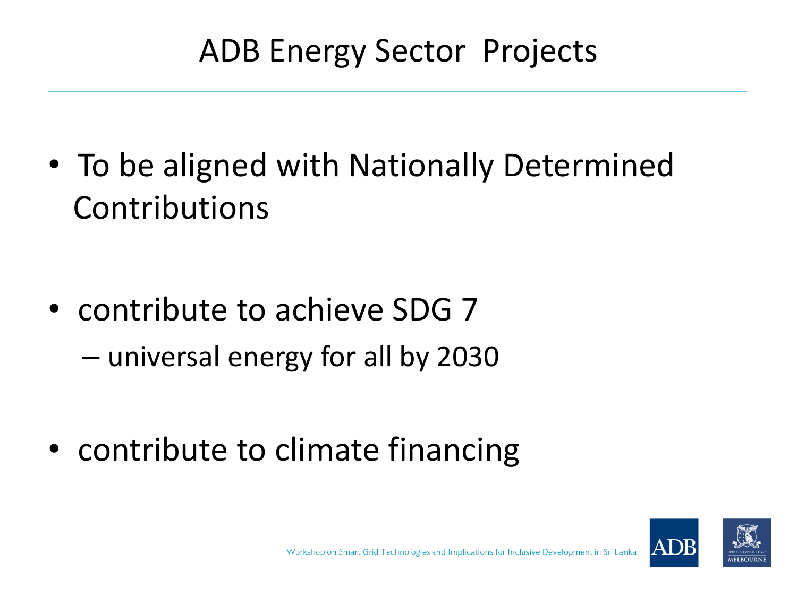## ADB Energy Sector Projects

• To be aligned with Nationally Determined Contributions

- contribute to achieve SDG 7 – universal energy for all by 2030
- contribute to climate financing

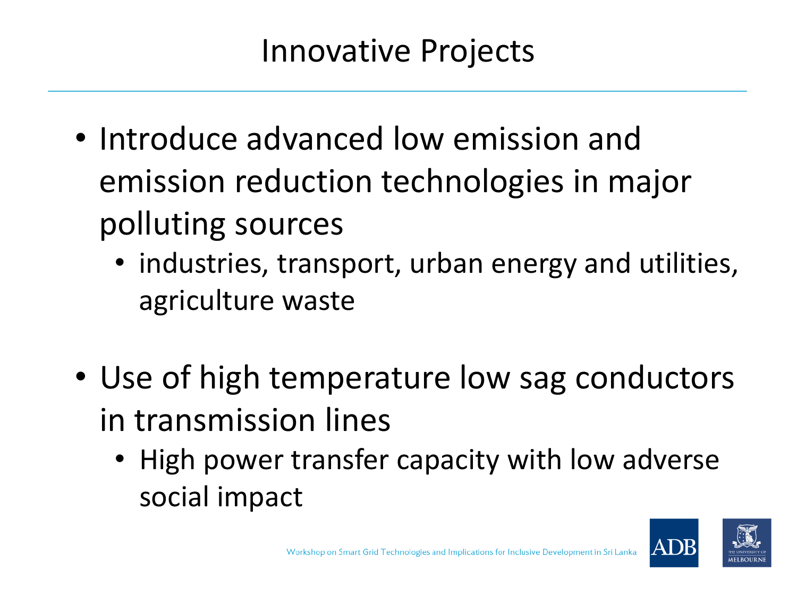### Innovative Projects

- Introduce advanced low emission and emission reduction technologies in major polluting sources
	- industries, transport, urban energy and utilities, agriculture waste
- Use of high temperature low sag conductors in transmission lines
	- High power transfer capacity with low adverse social impact

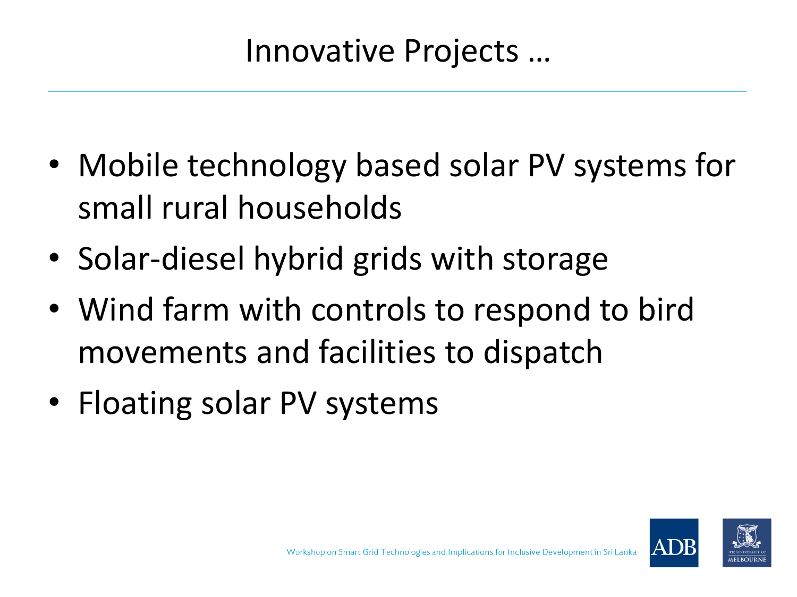### Innovative Projects …

- Mobile technology based solar PV systems for small rural households
- Solar-diesel hybrid grids with storage
- Wind farm with controls to respond to bird movements and facilities to dispatch
- Floating solar PV systems

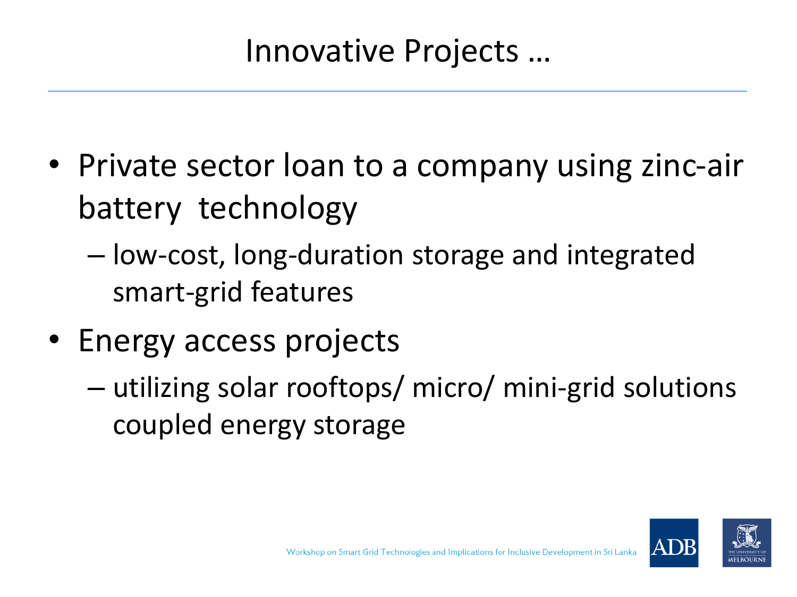### Innovative Projects …

- Private sector loan to a company using zinc-air battery technology
	- low-cost, long-duration storage and integrated smart-grid features
- Energy access projects
	- utilizing solar rooftops/ micro/ mini-grid solutions coupled energy storage

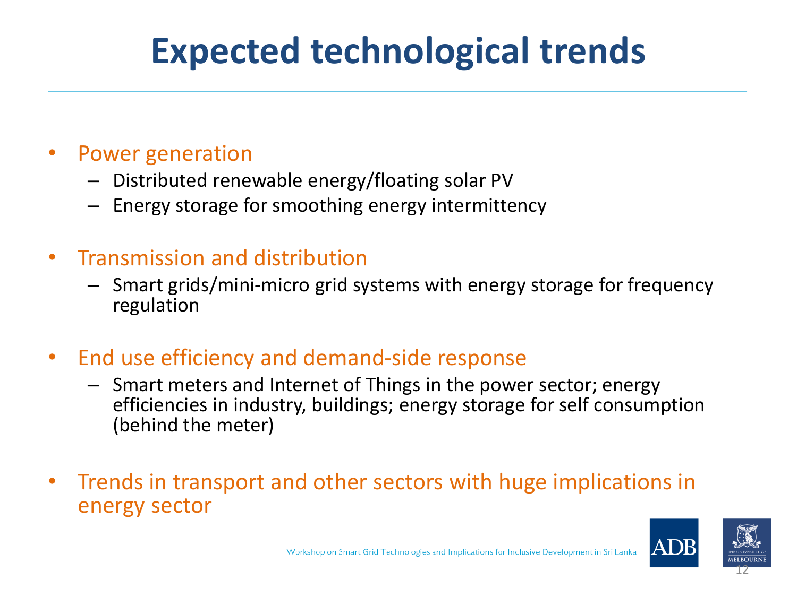# **Expected technological trends**

#### • Power generation

- Distributed renewable energy/floating solar PV
- Energy storage for smoothing energy intermittency

#### • Transmission and distribution

- Smart grids/mini-micro grid systems with energy storage for frequency regulation
- End use efficiency and demand-side response
	- Smart meters and Internet of Things in the power sector; energy efficiencies in industry, buildings; energy storage for self consumption (behind the meter)
- Trends in transport and other sectors with huge implications in energy sector

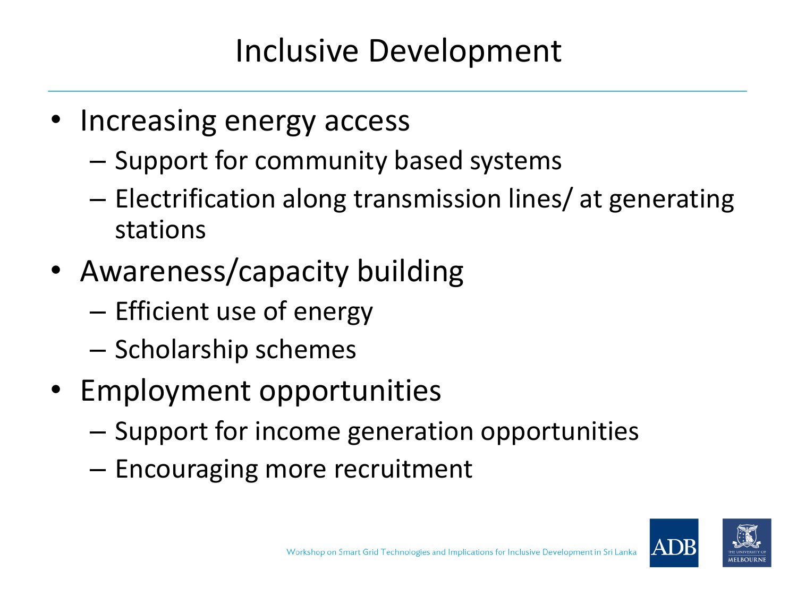### Inclusive Development

- Increasing energy access
	- Support for community based systems
	- Electrification along transmission lines/ at generating stations
- Awareness/capacity building
	- Efficient use of energy
	- Scholarship schemes
- Employment opportunities
	- Support for income generation opportunities
	- Encouraging more recruitment

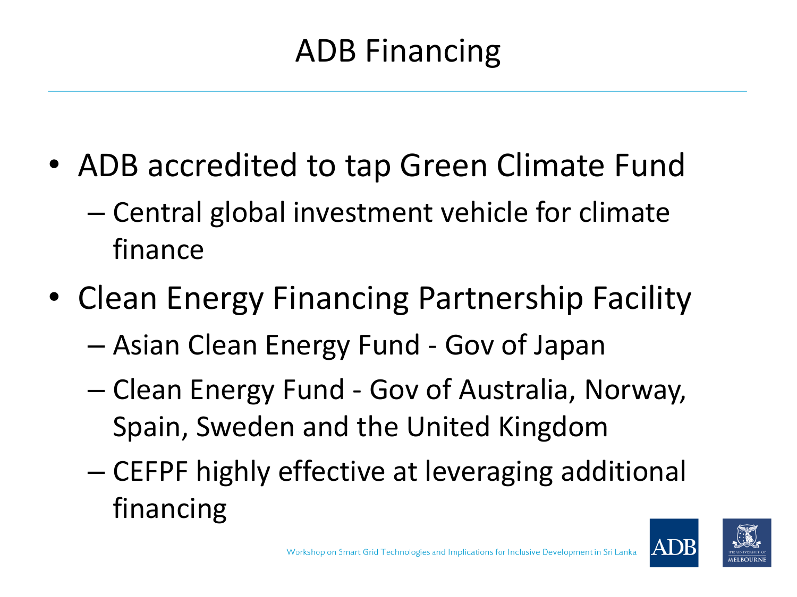# ADB Financing

- ADB accredited to tap Green Climate Fund
	- Central global investment vehicle for climate finance
- Clean Energy Financing Partnership Facility
	- Asian Clean Energy Fund Gov of Japan
	- Clean Energy Fund Gov of Australia, Norway, Spain, Sweden and the United Kingdom
	- CEFPF highly effective at leveraging additional financing

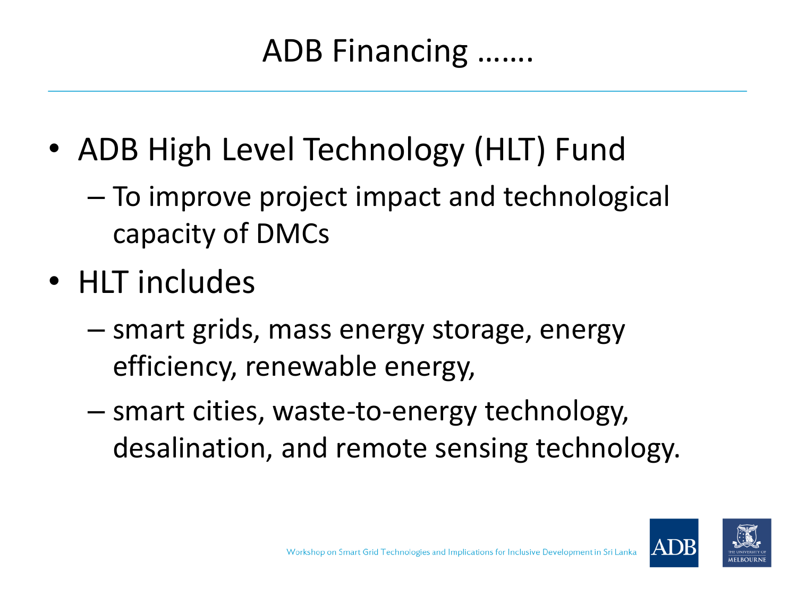### ADB Financing …….

- ADB High Level Technology (HLT) Fund
	- To improve project impact and technological capacity of DMCs
- HLT includes
	- smart grids, mass energy storage, energy efficiency, renewable energy,
	- smart cities, waste-to-energy technology, desalination, and remote sensing technology.

![](_page_14_Picture_6.jpeg)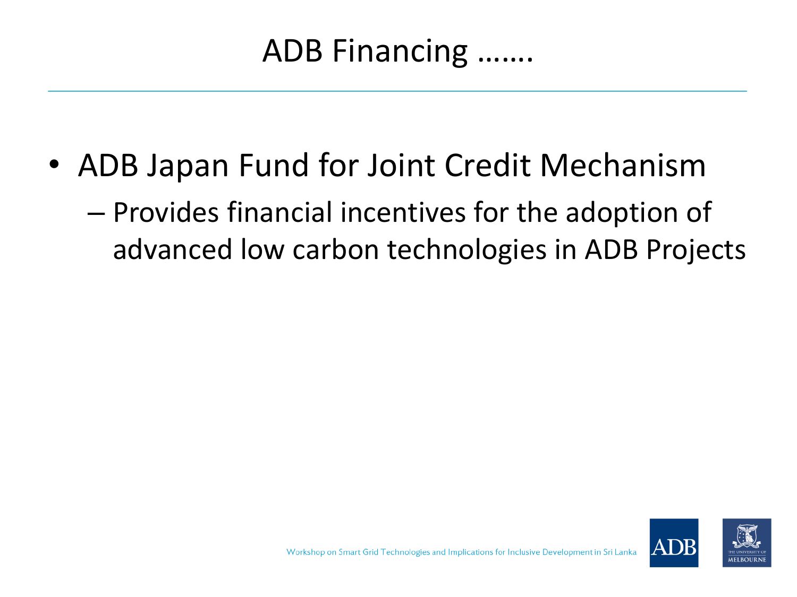• ADB Japan Fund for Joint Credit Mechanism

– Provides financial incentives for the adoption of advanced low carbon technologies in ADB Projects

![](_page_15_Picture_3.jpeg)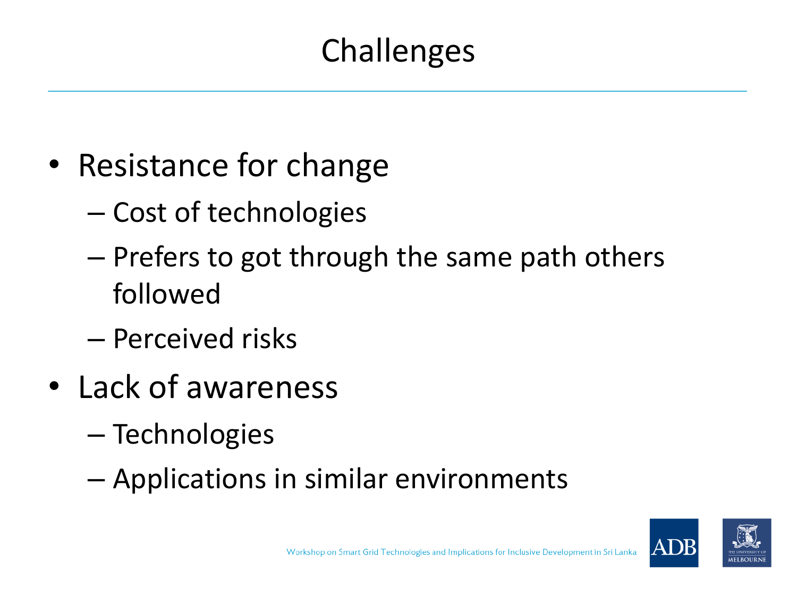# **Challenges**

- Resistance for change
	- Cost of technologies
	- Prefers to got through the same path others followed
	- Perceived risks
- Lack of awareness
	- Technologies
	- Applications in similar environments

![](_page_16_Picture_8.jpeg)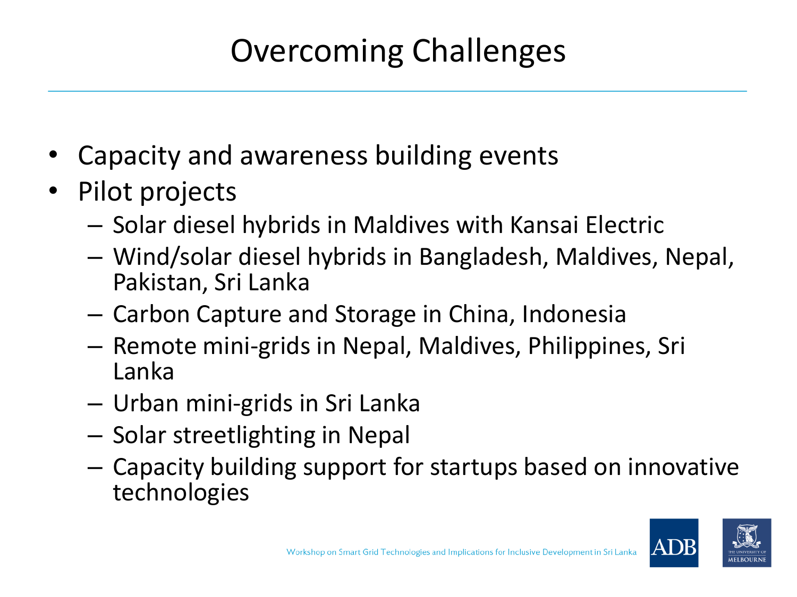# Overcoming Challenges

- Capacity and awareness building events
- Pilot projects
	- Solar diesel hybrids in Maldives with Kansai Electric
	- Wind/solar diesel hybrids in Bangladesh, Maldives, Nepal, Pakistan, Sri Lanka
	- Carbon Capture and Storage in China, Indonesia
	- Remote mini-grids in Nepal, Maldives, Philippines, Sri Lanka
	- Urban mini-grids in Sri Lanka
	- Solar streetlighting in Nepal
	- Capacity building support for startups based on innovative technologies

![](_page_17_Picture_10.jpeg)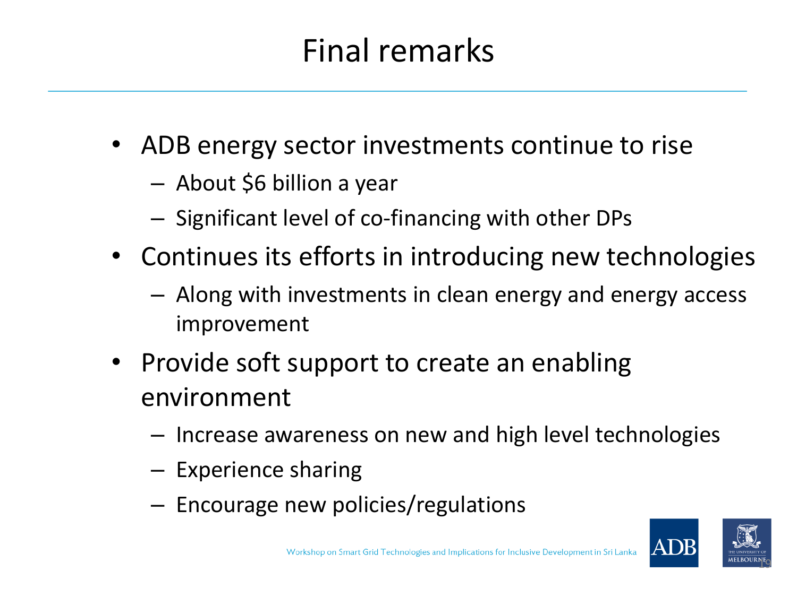# Final remarks

- ADB energy sector investments continue to rise
	- About \$6 billion a year
	- Significant level of co-financing with other DPs
- Continues its efforts in introducing new technologies
	- Along with investments in clean energy and energy access improvement
- Provide soft support to create an enabling environment
	- Increase awareness on new and high level technologies
	- Experience sharing
	- Encourage new policies/regulations

![](_page_18_Picture_10.jpeg)

<sup>n</sup>tg